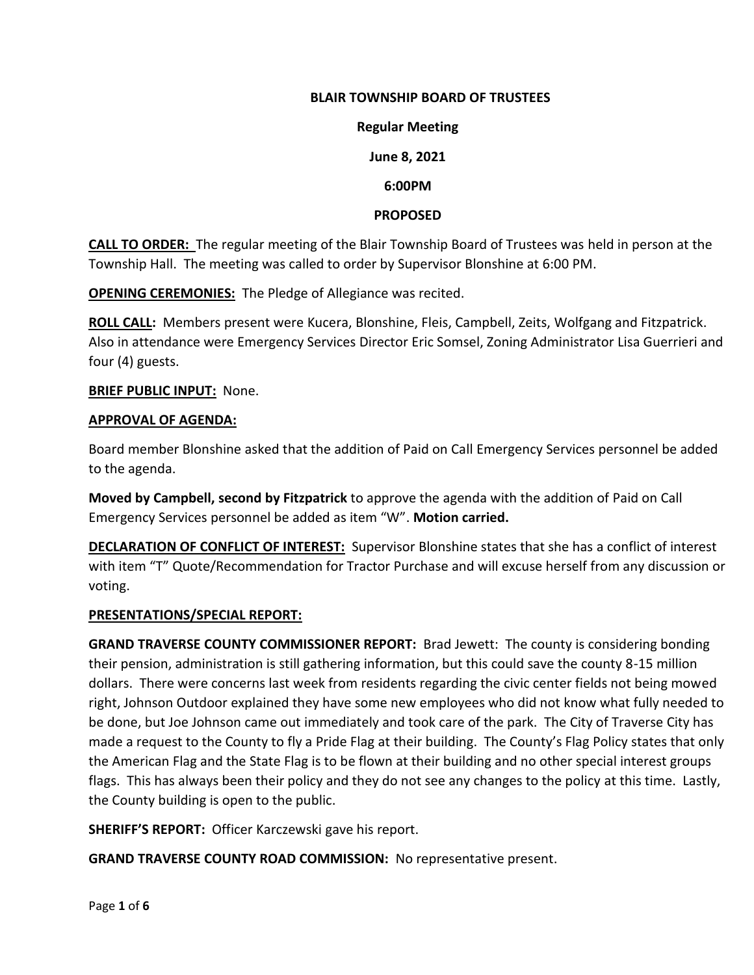## **BLAIR TOWNSHIP BOARD OF TRUSTEES**

#### **Regular Meeting**

# **June 8, 2021**

# **6:00PM**

#### **PROPOSED**

**CALL TO ORDER:** The regular meeting of the Blair Township Board of Trustees was held in person at the Township Hall. The meeting was called to order by Supervisor Blonshine at 6:00 PM.

**OPENING CEREMONIES:** The Pledge of Allegiance was recited.

**ROLL CALL:** Members present were Kucera, Blonshine, Fleis, Campbell, Zeits, Wolfgang and Fitzpatrick. Also in attendance were Emergency Services Director Eric Somsel, Zoning Administrator Lisa Guerrieri and four (4) guests.

**BRIEF PUBLIC INPUT:** None.

#### **APPROVAL OF AGENDA:**

Board member Blonshine asked that the addition of Paid on Call Emergency Services personnel be added to the agenda.

**Moved by Campbell, second by Fitzpatrick** to approve the agenda with the addition of Paid on Call Emergency Services personnel be added as item "W". **Motion carried.**

**DECLARATION OF CONFLICT OF INTEREST:** Supervisor Blonshine states that she has a conflict of interest with item "T" Quote/Recommendation for Tractor Purchase and will excuse herself from any discussion or voting.

## **PRESENTATIONS/SPECIAL REPORT:**

**GRAND TRAVERSE COUNTY COMMISSIONER REPORT:** Brad Jewett: The county is considering bonding their pension, administration is still gathering information, but this could save the county 8-15 million dollars. There were concerns last week from residents regarding the civic center fields not being mowed right, Johnson Outdoor explained they have some new employees who did not know what fully needed to be done, but Joe Johnson came out immediately and took care of the park. The City of Traverse City has made a request to the County to fly a Pride Flag at their building. The County's Flag Policy states that only the American Flag and the State Flag is to be flown at their building and no other special interest groups flags. This has always been their policy and they do not see any changes to the policy at this time. Lastly, the County building is open to the public.

**SHERIFF'S REPORT:** Officer Karczewski gave his report.

**GRAND TRAVERSE COUNTY ROAD COMMISSION:** No representative present.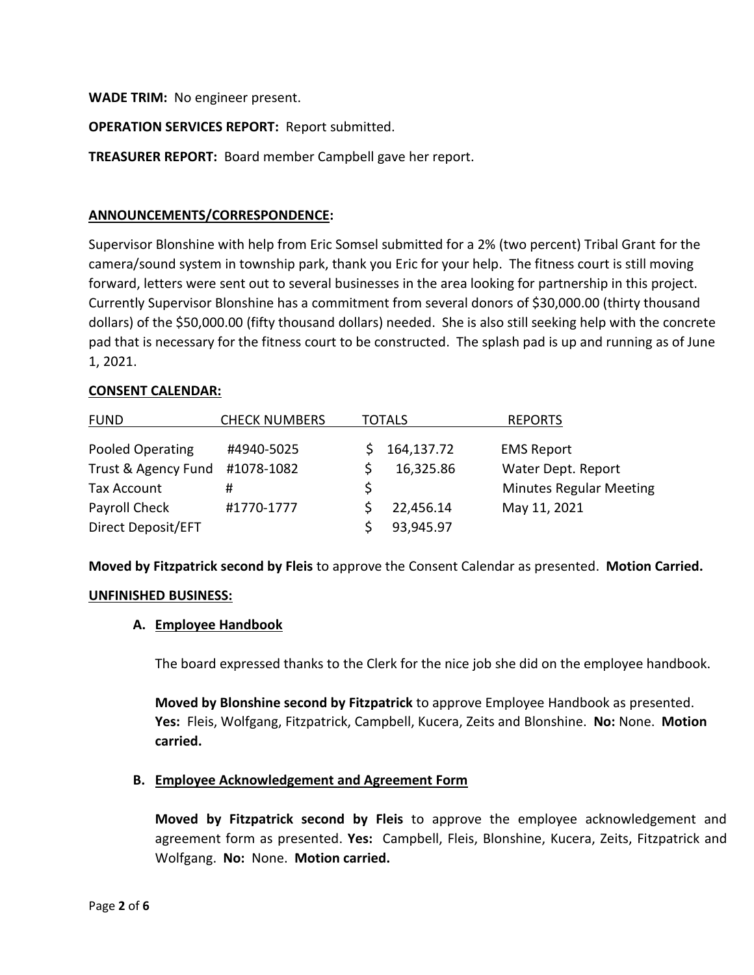**WADE TRIM:** No engineer present.

## **OPERATION SERVICES REPORT:** Report submitted.

**TREASURER REPORT:** Board member Campbell gave her report.

#### **ANNOUNCEMENTS/CORRESPONDENCE:**

Supervisor Blonshine with help from Eric Somsel submitted for a 2% (two percent) Tribal Grant for the camera/sound system in township park, thank you Eric for your help. The fitness court is still moving forward, letters were sent out to several businesses in the area looking for partnership in this project. Currently Supervisor Blonshine has a commitment from several donors of \$30,000.00 (thirty thousand dollars) of the \$50,000.00 (fifty thousand dollars) needed. She is also still seeking help with the concrete pad that is necessary for the fitness court to be constructed. The splash pad is up and running as of June 1, 2021.

#### **CONSENT CALENDAR:**

| <b>FUND</b>         | <b>CHECK NUMBERS</b> | <b>TOTALS</b> |            | <b>REPORTS</b>                 |
|---------------------|----------------------|---------------|------------|--------------------------------|
| Pooled Operating    | #4940-5025           |               | 164,137.72 | <b>EMS Report</b>              |
| Trust & Agency Fund | #1078-1082           |               | 16,325.86  | Water Dept. Report             |
| <b>Tax Account</b>  | #                    |               |            | <b>Minutes Regular Meeting</b> |
| Payroll Check       | #1770-1777           |               | 22,456.14  | May 11, 2021                   |
| Direct Deposit/EFT  |                      |               | 93,945.97  |                                |

**Moved by Fitzpatrick second by Fleis** to approve the Consent Calendar as presented. **Motion Carried.**

#### **UNFINISHED BUSINESS:**

#### **A. Employee Handbook**

The board expressed thanks to the Clerk for the nice job she did on the employee handbook.

**Moved by Blonshine second by Fitzpatrick** to approve Employee Handbook as presented. **Yes:** Fleis, Wolfgang, Fitzpatrick, Campbell, Kucera, Zeits and Blonshine. **No:** None. **Motion carried.**

#### **B. Employee Acknowledgement and Agreement Form**

**Moved by Fitzpatrick second by Fleis** to approve the employee acknowledgement and agreement form as presented. **Yes:** Campbell, Fleis, Blonshine, Kucera, Zeits, Fitzpatrick and Wolfgang. **No:** None. **Motion carried.**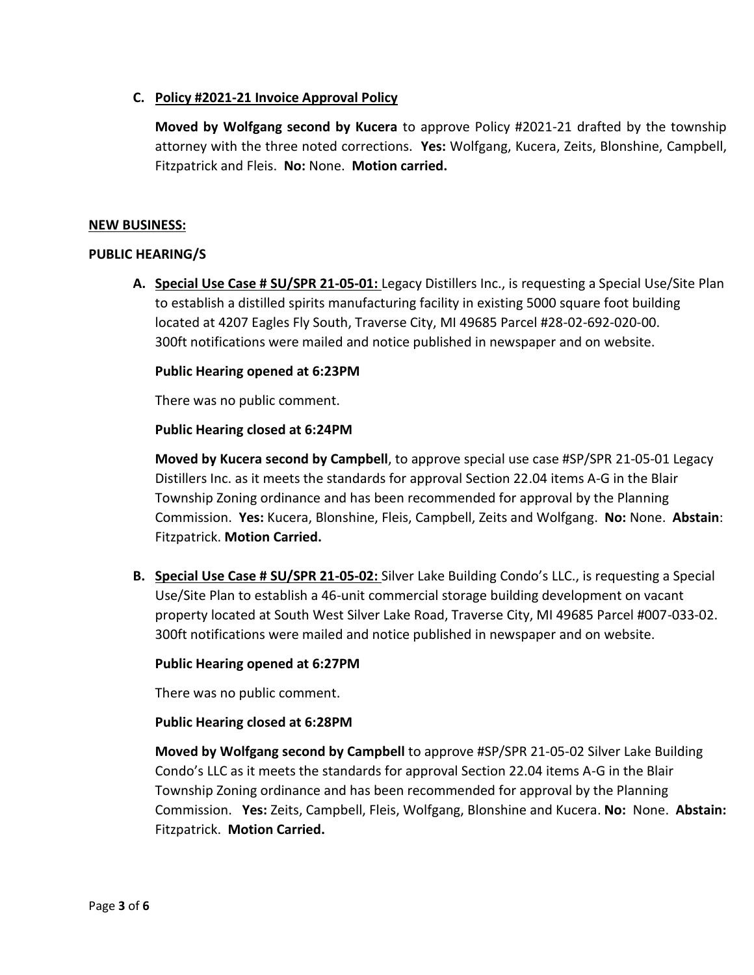# **C. Policy #2021-21 Invoice Approval Policy**

**Moved by Wolfgang second by Kucera** to approve Policy #2021-21 drafted by the township attorney with the three noted corrections. **Yes:** Wolfgang, Kucera, Zeits, Blonshine, Campbell, Fitzpatrick and Fleis. **No:** None. **Motion carried.**

#### **NEW BUSINESS:**

#### **PUBLIC HEARING/S**

**A. Special Use Case # SU/SPR 21-05-01:** Legacy Distillers Inc., is requesting a Special Use/Site Plan to establish a distilled spirits manufacturing facility in existing 5000 square foot building located at 4207 Eagles Fly South, Traverse City, MI 49685 Parcel #28-02-692-020-00. 300ft notifications were mailed and notice published in newspaper and on website.

#### **Public Hearing opened at 6:23PM**

There was no public comment.

#### **Public Hearing closed at 6:24PM**

**Moved by Kucera second by Campbell**, to approve special use case #SP/SPR 21-05-01 Legacy Distillers Inc. as it meets the standards for approval Section 22.04 items A-G in the Blair Township Zoning ordinance and has been recommended for approval by the Planning Commission. **Yes:** Kucera, Blonshine, Fleis, Campbell, Zeits and Wolfgang. **No:** None. **Abstain**: Fitzpatrick. **Motion Carried.**

**B. Special Use Case # SU/SPR 21-05-02:** Silver Lake Building Condo's LLC., is requesting a Special Use/Site Plan to establish a 46-unit commercial storage building development on vacant property located at South West Silver Lake Road, Traverse City, MI 49685 Parcel #007-033-02. 300ft notifications were mailed and notice published in newspaper and on website.

## **Public Hearing opened at 6:27PM**

There was no public comment.

## **Public Hearing closed at 6:28PM**

**Moved by Wolfgang second by Campbell** to approve #SP/SPR 21-05-02 Silver Lake Building Condo's LLC as it meets the standards for approval Section 22.04 items A-G in the Blair Township Zoning ordinance and has been recommended for approval by the Planning Commission. **Yes:** Zeits, Campbell, Fleis, Wolfgang, Blonshine and Kucera. **No:** None. **Abstain:** Fitzpatrick. **Motion Carried.**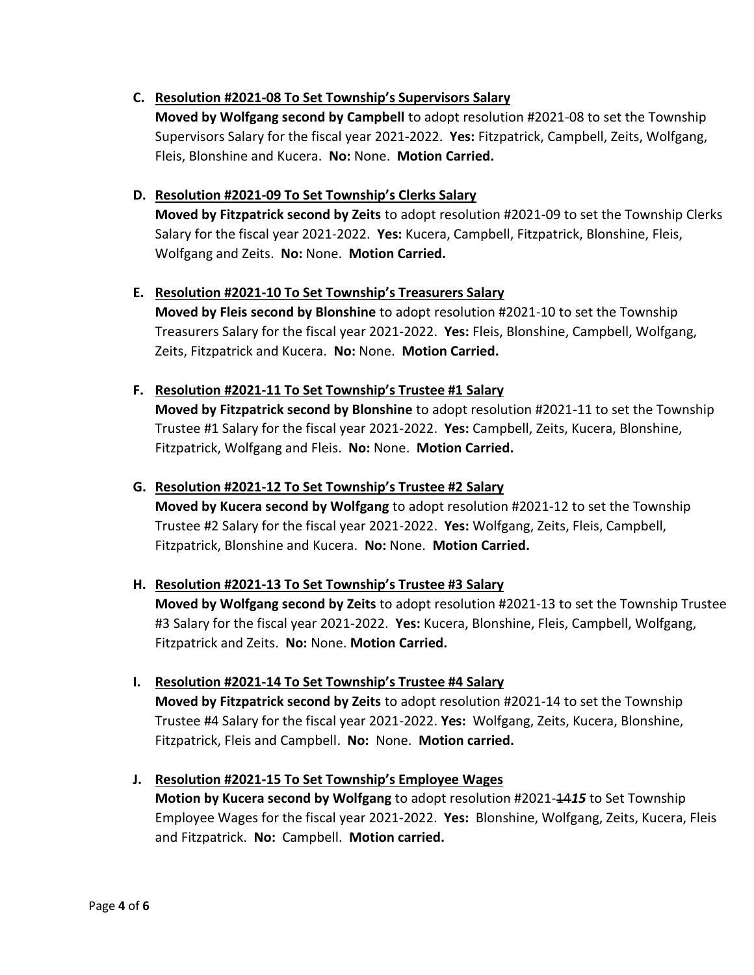# **C. Resolution #2021-08 To Set Township's Supervisors Salary**

**Moved by Wolfgang second by Campbell** to adopt resolution #2021-08 to set the Township Supervisors Salary for the fiscal year 2021-2022. **Yes:** Fitzpatrick, Campbell, Zeits, Wolfgang, Fleis, Blonshine and Kucera. **No:** None. **Motion Carried.**

# **D. Resolution #2021-09 To Set Township's Clerks Salary**

**Moved by Fitzpatrick second by Zeits** to adopt resolution #2021-09 to set the Township Clerks Salary for the fiscal year 2021-2022. **Yes:** Kucera, Campbell, Fitzpatrick, Blonshine, Fleis, Wolfgang and Zeits. **No:** None. **Motion Carried.**

# **E. Resolution #2021-10 To Set Township's Treasurers Salary**

**Moved by Fleis second by Blonshine** to adopt resolution #2021-10 to set the Township Treasurers Salary for the fiscal year 2021-2022. **Yes:** Fleis, Blonshine, Campbell, Wolfgang, Zeits, Fitzpatrick and Kucera. **No:** None. **Motion Carried.** 

# **F. Resolution #2021-11 To Set Township's Trustee #1 Salary**

**Moved by Fitzpatrick second by Blonshine** to adopt resolution #2021-11 to set the Township Trustee #1 Salary for the fiscal year 2021-2022. **Yes:** Campbell, Zeits, Kucera, Blonshine, Fitzpatrick, Wolfgang and Fleis. **No:** None. **Motion Carried.**

# **G. Resolution #2021-12 To Set Township's Trustee #2 Salary**

**Moved by Kucera second by Wolfgang** to adopt resolution #2021-12 to set the Township Trustee #2 Salary for the fiscal year 2021-2022. **Yes:** Wolfgang, Zeits, Fleis, Campbell, Fitzpatrick, Blonshine and Kucera. **No:** None. **Motion Carried.**

# **H. Resolution #2021-13 To Set Township's Trustee #3 Salary**

**Moved by Wolfgang second by Zeits** to adopt resolution #2021-13 to set the Township Trustee #3 Salary for the fiscal year 2021-2022. **Yes:** Kucera, Blonshine, Fleis, Campbell, Wolfgang, Fitzpatrick and Zeits. **No:** None. **Motion Carried.**

# **I. Resolution #2021-14 To Set Township's Trustee #4 Salary**

**Moved by Fitzpatrick second by Zeits** to adopt resolution #2021-14 to set the Township Trustee #4 Salary for the fiscal year 2021-2022. **Yes:** Wolfgang, Zeits, Kucera, Blonshine, Fitzpatrick, Fleis and Campbell. **No:** None. **Motion carried.** 

# **J. Resolution #2021-15 To Set Township's Employee Wages**

**Motion by Kucera second by Wolfgang** to adopt resolution #2021-4415 to Set Township Employee Wages for the fiscal year 2021-2022. **Yes:** Blonshine, Wolfgang, Zeits, Kucera, Fleis and Fitzpatrick. **No:** Campbell. **Motion carried.**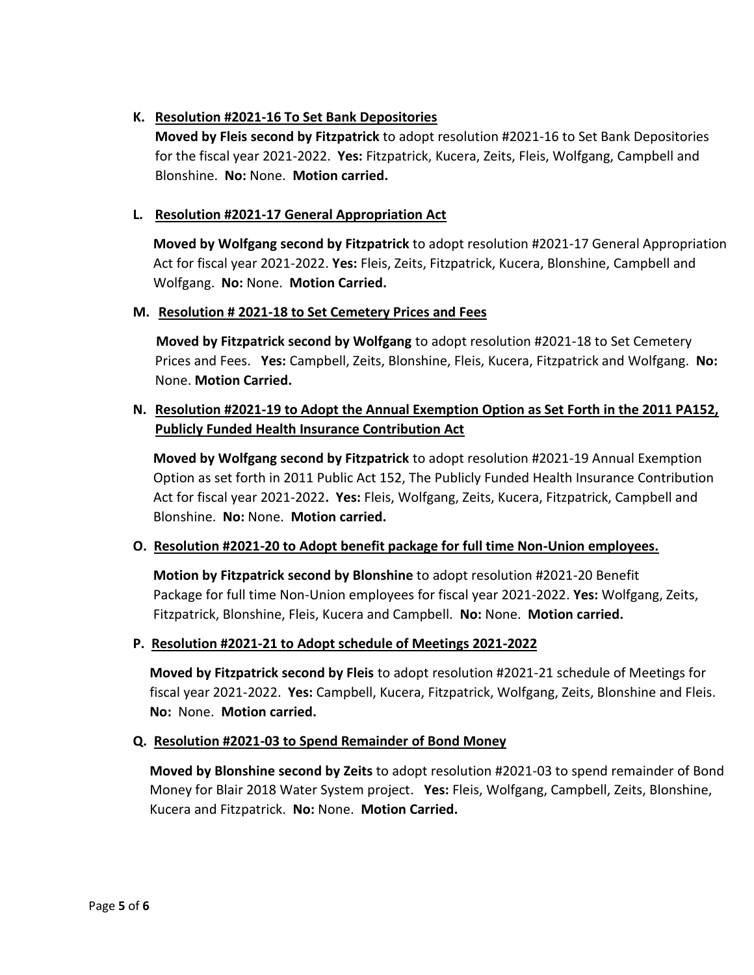# **K. Resolution #2021-16 To Set Bank Depositories**

**Moved by Fleis second by Fitzpatrick** to adopt resolution #2021-16 to Set Bank Depositories for the fiscal year 2021-2022. **Yes:** Fitzpatrick, Kucera, Zeits, Fleis, Wolfgang, Campbell and Blonshine. **No:** None. **Motion carried.**

# **L. Resolution #2021-17 General Appropriation Act**

**Moved by Wolfgang second by Fitzpatrick** to adopt resolution #2021-17 General Appropriation Act for fiscal year 2021-2022. **Yes:** Fleis, Zeits, Fitzpatrick, Kucera, Blonshine, Campbell and Wolfgang. **No:** None. **Motion Carried.**

## **M. Resolution # 2021-18 to Set Cemetery Prices and Fees**

**Moved by Fitzpatrick second by Wolfgang** to adopt resolution #2021-18 to Set Cemetery Prices and Fees. **Yes:** Campbell, Zeits, Blonshine, Fleis, Kucera, Fitzpatrick and Wolfgang. **No:**  None. **Motion Carried.**

# **N. Resolution #2021-19 to Adopt the Annual Exemption Option as Set Forth in the 2011 PA152, Publicly Funded Health Insurance Contribution Act**

**Moved by Wolfgang second by Fitzpatrick** to adopt resolution #2021-19 Annual Exemption Option as set forth in 2011 Public Act 152, The Publicly Funded Health Insurance Contribution Act for fiscal year 2021-2022**. Yes:** Fleis, Wolfgang, Zeits, Kucera, Fitzpatrick, Campbell and Blonshine. **No:** None. **Motion carried.**

## **O. Resolution #2021-20 to Adopt benefit package for full time Non-Union employees.**

**Motion by Fitzpatrick second by Blonshine** to adopt resolution #2021-20 Benefit Package for full time Non-Union employees for fiscal year 2021-2022. **Yes:** Wolfgang, Zeits, Fitzpatrick, Blonshine, Fleis, Kucera and Campbell. **No:** None. **Motion carried.**

## **P. Resolution #2021-21 to Adopt schedule of Meetings 2021-2022**

**Moved by Fitzpatrick second by Fleis** to adopt resolution #2021-21 schedule of Meetings for fiscal year 2021-2022. **Yes:** Campbell, Kucera, Fitzpatrick, Wolfgang, Zeits, Blonshine and Fleis. **No:** None. **Motion carried.**

## **Q. Resolution #2021-03 to Spend Remainder of Bond Money**

**Moved by Blonshine second by Zeits** to adopt resolution #2021-03 to spend remainder of Bond Money for Blair 2018 Water System project. **Yes:** Fleis, Wolfgang, Campbell, Zeits, Blonshine, Kucera and Fitzpatrick. **No:** None. **Motion Carried.**